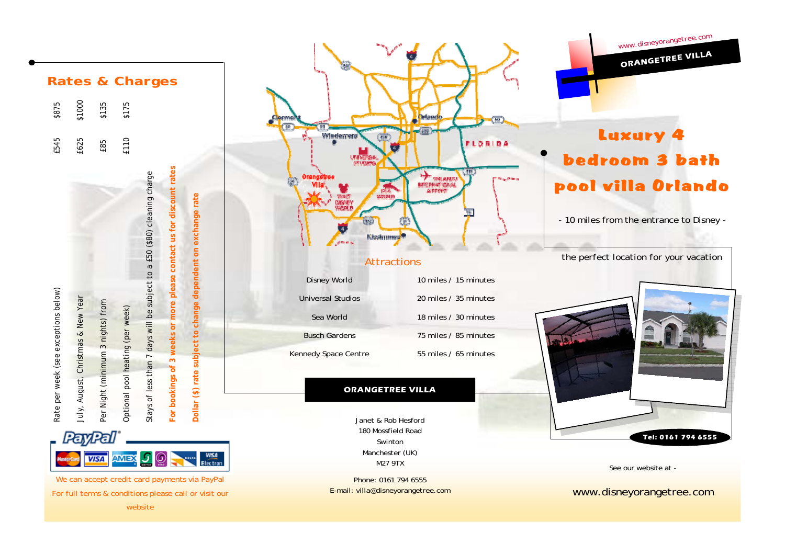



We can accept credit card payments via PayPal For full terms & conditions please call or visit our website



#### **ORANGETREE VILLA**

Janet & Rob Hesford 180 Mossfield Road Swinton Manchester (UK) M27 9TX

Phone: 0161 794 6555 E-mail: villa@disneyorangetree.com



*www.disneyorangetree.com*

**ORANGETREE VILLA** 



See our website at -

www.disneyorangetree.com